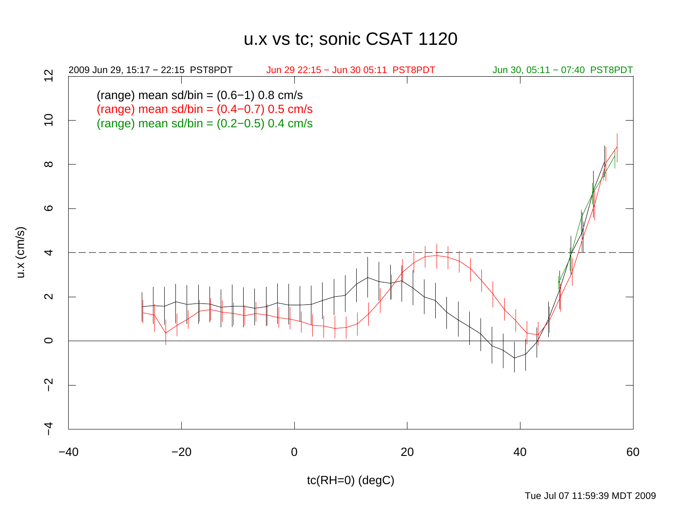## u.x vs tc; sonic CSAT 1120



Tue Jul 07 11:59:39 MDT 2009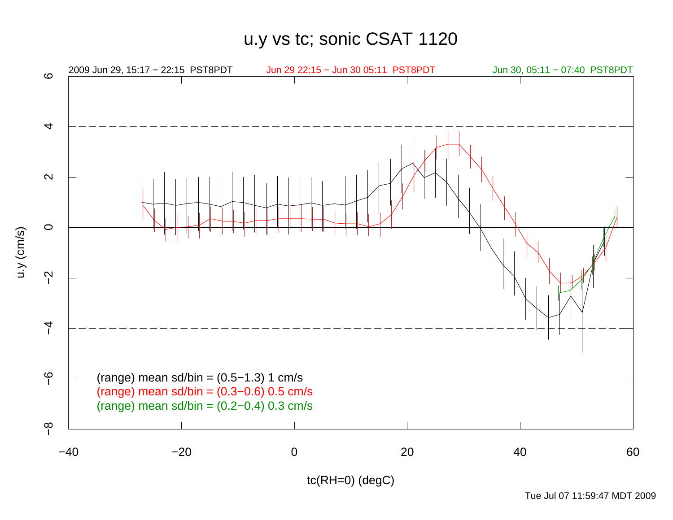u.y vs tc; sonic CSAT 1120



Tue Jul 07 11:59:47 MDT 2009